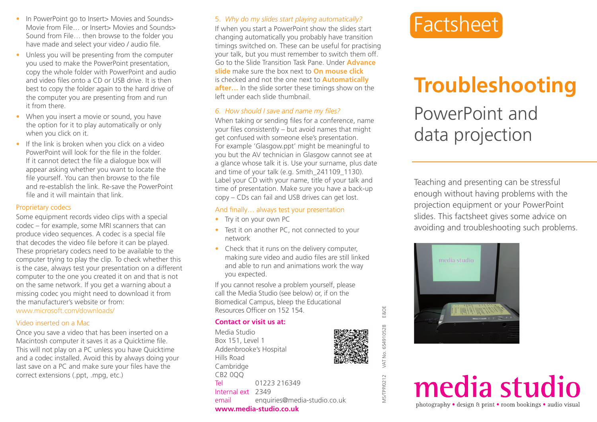- In PowerPoint go to Insert > Movies and Sounds > Movie from File… or Insert> Movies and Sounds> Sound from File… then browse to the folder you have made and select your video / audio file.
- Unless you will be presenting from the computer you used to make the PowerPoint presentation, copy the whole folder with PowerPoint and audio and video files onto a  $CD$  or USB drive. It is then best to copy the folder again to the hard drive of the computer you are presenting from and run it from there.
- When you insert a movie or sound, you have the option for it to play automatically or only when you click on it.
- If the link is broken when you click on a video PowerPoint will look for the file in the folder. If it cannot detect the file a dialogue box will appear asking whether you want to locate the file yourself. You can then browse to the file and re-establish the link. Re-save the PowerPoint file and it will maintain that link.

#### Proprietary codecs

Some equipment records video clips with a special codec – for example, some MRI scanners that can produce video sequences. A codec is a special file that decodes the video file before it can be played. These proprietary codecs need to be available to the computer trying to play the clip. To check whether this is the case, always test your presentation on a different computer to the one you created it on and that is not on the same network. If you get a warning about a missing codec you might need to download it from the manufacturer's website or from: www.microsoft.com/downloads/

# Video inserted on a Mac

Once you save a video that has been inserted on a Macintosh computer it saves it as a Quicktime file. This will not play on a PC unless you have Quicktime and a codec installed. Avoid this by always doing your last save on a PC and make sure your files have the correct extensions (.ppt, .mpg, etc.)

# 5. *Why do my slides start playing automatically?*

If when you start a PowerPoint show the slides start changing automatically you probably have transition timings switched on. These can be useful for practising your talk, but you must remember to switch them off. Go to the Slide Transition Task Pane. Under **Advance slide** make sure the box next to **On mouse click** is checked and not the one next to **Automatically after…** In the slide sorter these timings show on the left under each slide thumbnail.

# *6. How should I save and name my fi les?*

When taking or sending files for a conference, name your files consistently  $-$  but avoid names that might get confused with someone else's presentation. For example 'Glasgow.ppt' might be meaningful to you but the AV technician in Glasgow cannot see at a glance whose talk it is. Use your surname, plus date and time of your talk (e.g. Smith\_241109\_1130). Label your CD with your name, title of your talk and time of presentation. Make sure you have a back-up copy – CDs can fail and USB drives can get lost.

# And finally... always test your presentation

- Try it on your own PC
- Test it on another PC, not connected to your network
- Check that it runs on the delivery computer, making sure video and audio files are still linked and able to run and animations work the way you expected.

If you cannot resolve a problem yourself, please call the Media Studio (see below) or, if on the Biomedical Campus, bleep the Educational Resources Officer on 152 154

# **Contact or visit us at:**

Media Studio Box 151, Level 1 Addenbrooke's Hospital Hills Road Cambridge CB2 0QQ Tel 01223 216349 Internal ext 2349 email enquiries@media-studio.co.uk **www.media-studio.co.uk**



# **Troubleshooting**

# PowerPoint and data projection

Teaching and presenting can be stressful enough without having problems with the projection equipment or your PowerPoint slides. This factsheet gives some advice on avoiding and troubleshooting such problems.



# media studio photography • design & print • room bookings • audio visual



E&OE